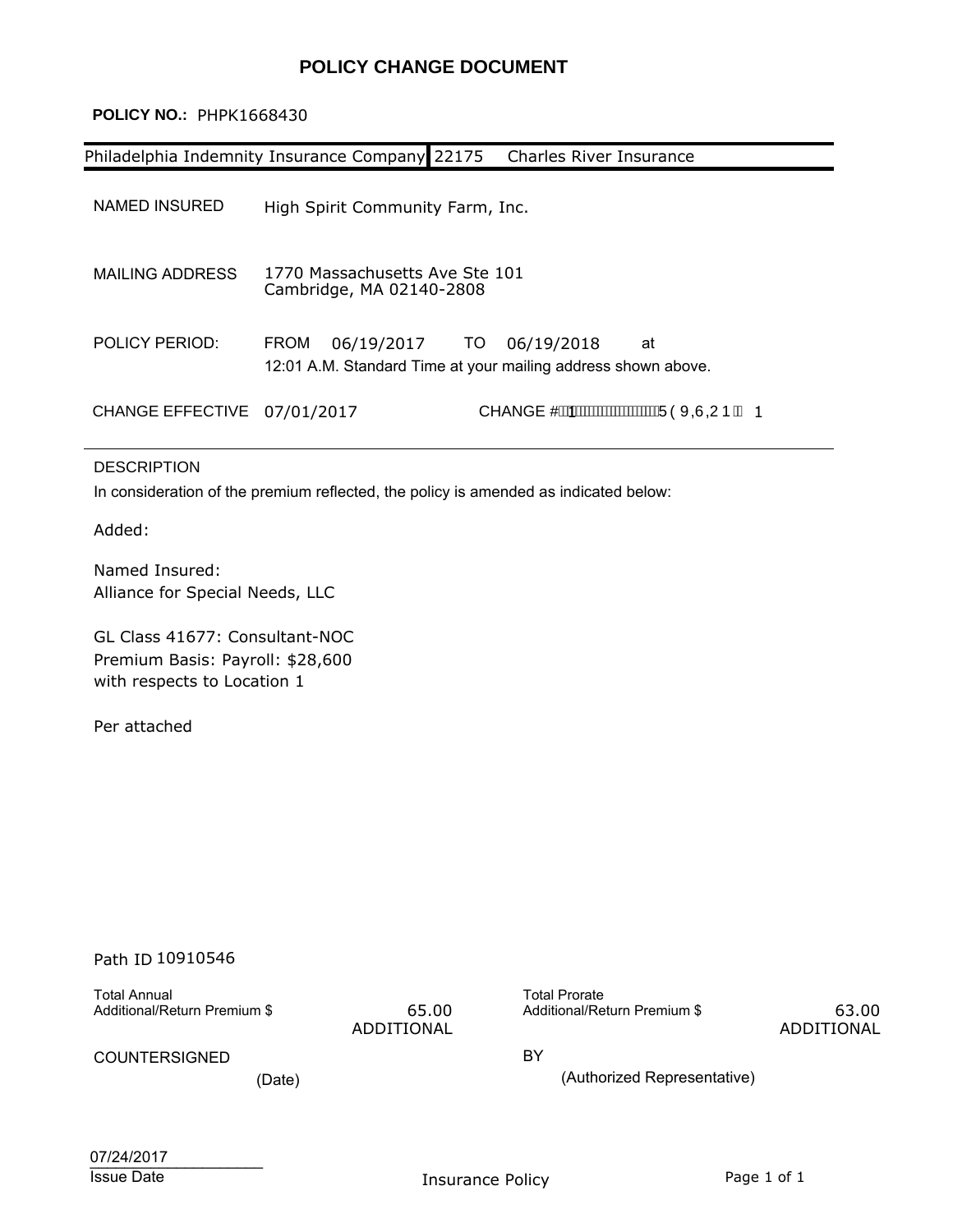### **POLICY CHANGE DOCUMENT**

#### **POLICY NO.:** PHPK1668430

|                             | Philadelphia Indemnity Insurance Company 22175             |      | Charles River Insurance                                                           |
|-----------------------------|------------------------------------------------------------|------|-----------------------------------------------------------------------------------|
| NAMED INSURED               | High Spirit Community Farm, Inc.                           |      |                                                                                   |
| MAILING ADDRESS             | 1770 Massachusetts Ave Ste 101<br>Cambridge, MA 02140-2808 |      |                                                                                   |
| POLICY PERIOD:              | 06/19/2017<br><b>FROM</b>                                  | TO I | 06/19/2018<br>at<br>12:01 A.M. Standard Time at your mailing address shown above. |
| CHANGE EFFECTIVE 07/01/2017 |                                                            |      | CHANGE#A WAWAWAWAWAWAWANJÒXOÙOUÞÁA 1.                                             |

#### DESCRIPTION

In consideration of the premium reflected, the policy is amended as indicated below:

Added:

Named Insured: Alliance for Special Needs, LLC

GL Class 41677: Consultant-NOC Premium Basis: Payroll: \$28,600 with respects to Location 1

Per attached

### Path ID 10910546

Total Annual

ADDITIONAL

Additional/Return Premium \$ 65.00 Additional/Return Premium \$ Total Prorate

 63.00 ADDITIONAL

COUNTERSIGNED BY

(Date) (Authorized Representative)

| 07/24/2017        |  |
|-------------------|--|
| <b>Issue Date</b> |  |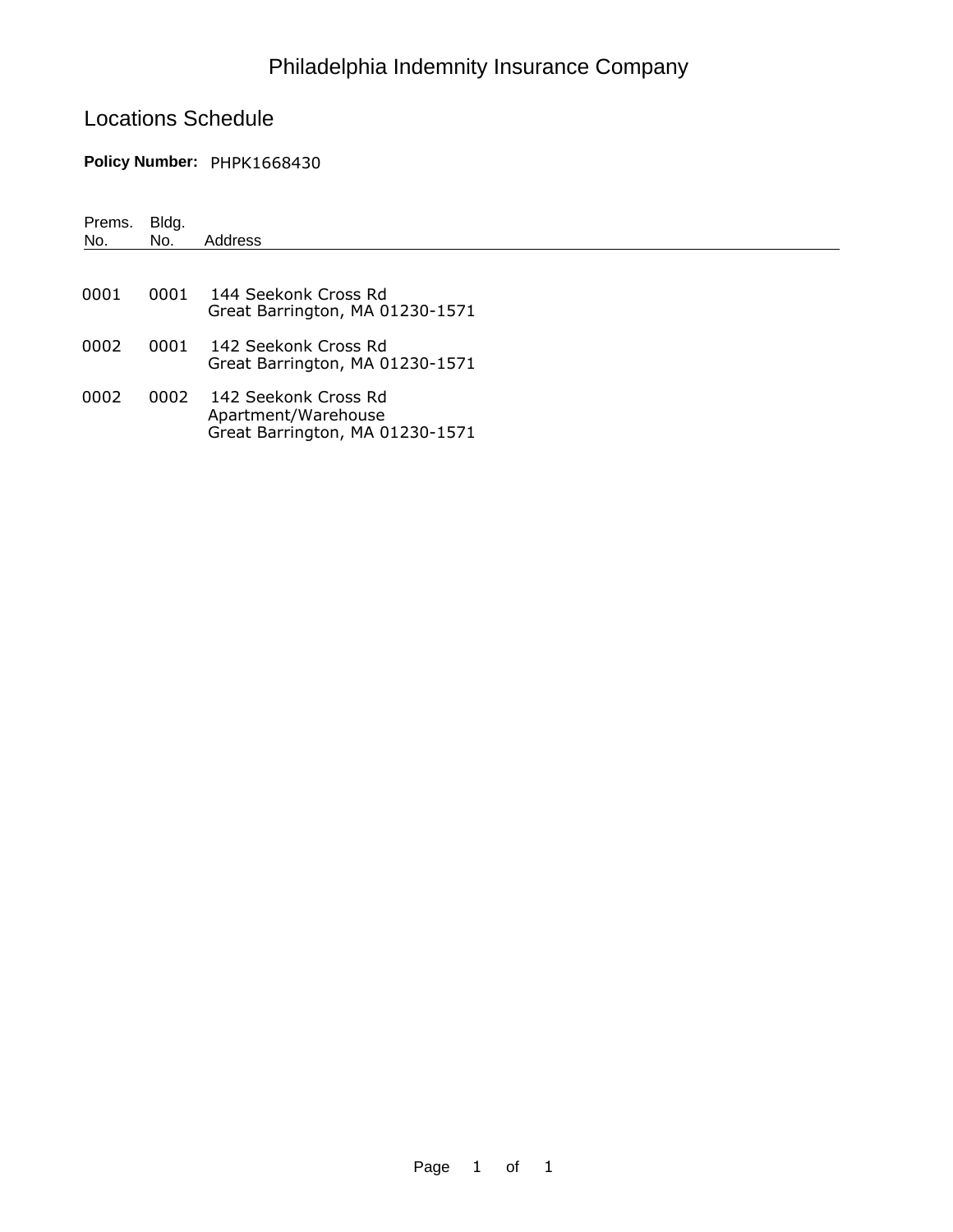## Philadelphia Indemnity Insurance Company

## Locations Schedule

### **Policy Number:** PHPK1668430

| Prems.<br>No. | Bldg.<br>No. | Address                                                                        |
|---------------|--------------|--------------------------------------------------------------------------------|
| 0001          | 0001         | 144 Seekonk Cross Rd<br>Great Barrington, MA 01230-1571                        |
| 0002          | 0001         | – 142 Seekonk Cross Rd<br>Great Barrington, MA 01230-1571                      |
| 0002          | 0002         | 142 Seekonk Cross Rd<br>Apartment/Warehouse<br>Great Barrington, MA 01230-1571 |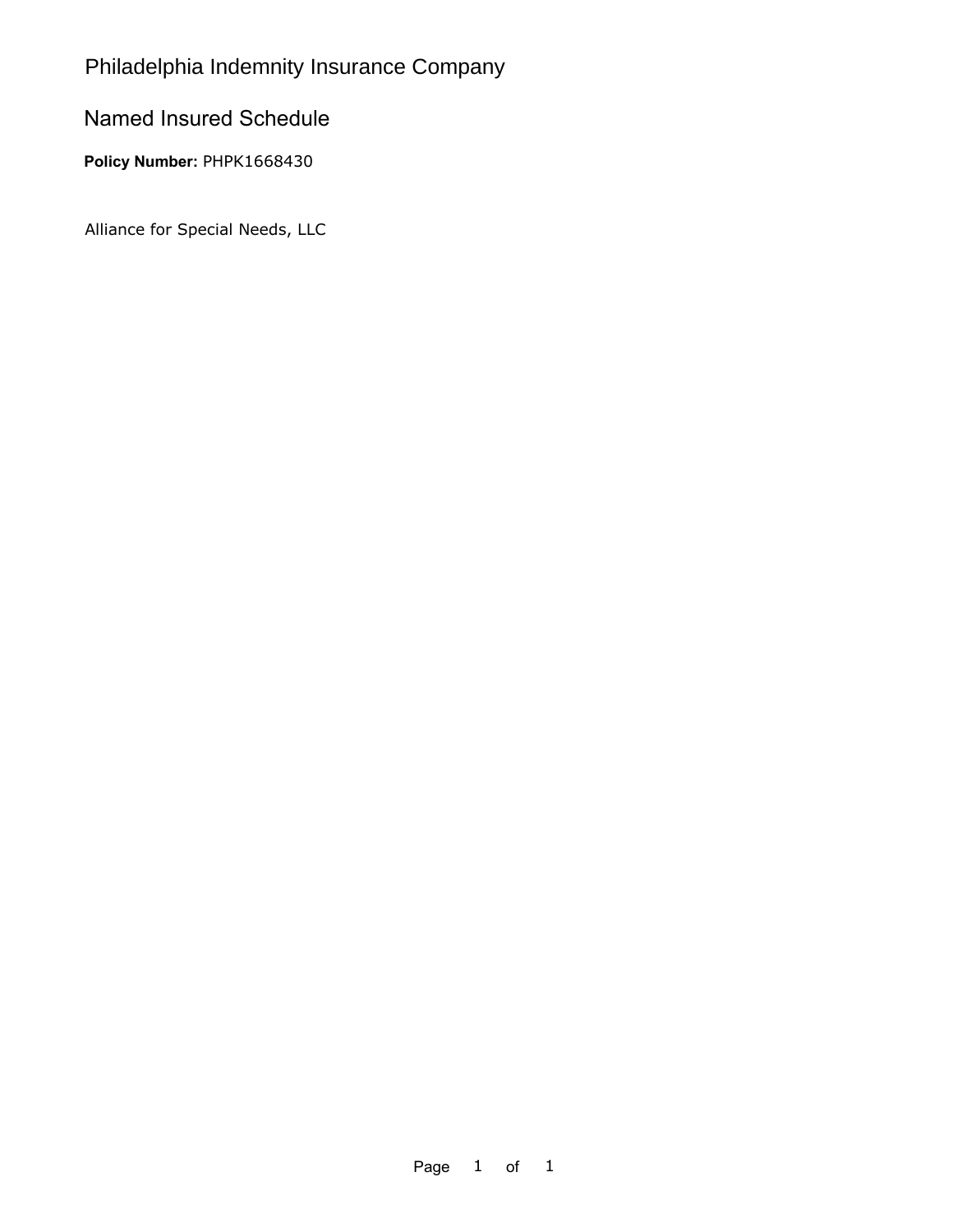## Philadelphia Indemnity Insurance Company

### Named Insured Schedule

Policy Number: PHPK1668430

Alliance for Special Needs, LLC